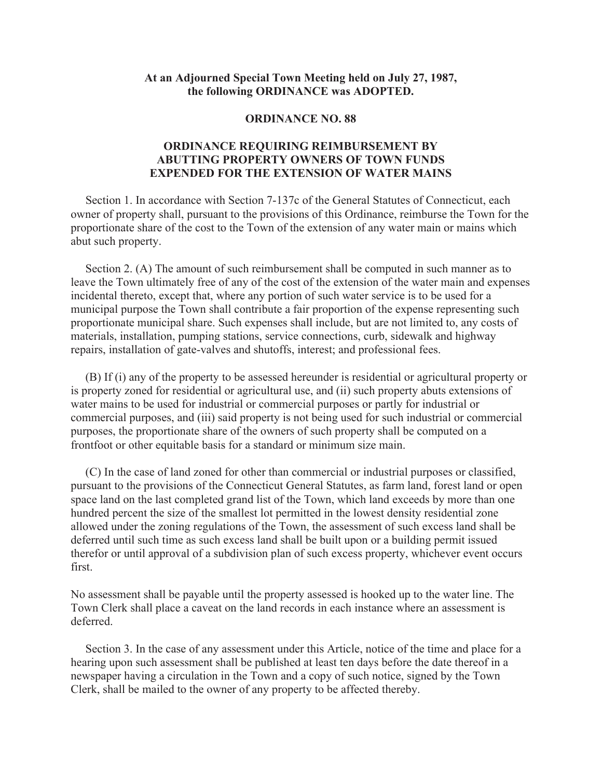## **At an Adjourned Special Town Meeting held on July 27, 1987, the following ORDINANCE was ADOPTED.**

## **ORDINANCE NO. 88**

## **ORDINANCE REQUIRING REIMBURSEMENT BY ABUTTING PROPERTY OWNERS OF TOWN FUNDS EXPENDED FOR THE EXTENSION OF WATER MAINS**

 Section 1. In accordance with Section 7-137c of the General Statutes of Connecticut, each owner of property shall, pursuant to the provisions of this Ordinance, reimburse the Town for the proportionate share of the cost to the Town of the extension of any water main or mains which abut such property.

 Section 2. (A) The amount of such reimbursement shall be computed in such manner as to leave the Town ultimately free of any of the cost of the extension of the water main and expenses incidental thereto, except that, where any portion of such water service is to be used for a municipal purpose the Town shall contribute a fair proportion of the expense representing such proportionate municipal share. Such expenses shall include, but are not limited to, any costs of materials, installation, pumping stations, service connections, curb, sidewalk and highway repairs, installation of gate-valves and shutoffs, interest; and professional fees.

 (B) If (i) any of the property to be assessed hereunder is residential or agricultural property or is property zoned for residential or agricultural use, and (ii) such property abuts extensions of water mains to be used for industrial or commercial purposes or partly for industrial or commercial purposes, and (iii) said property is not being used for such industrial or commercial purposes, the proportionate share of the owners of such property shall be computed on a frontfoot or other equitable basis for a standard or minimum size main.

 (C) In the case of land zoned for other than commercial or industrial purposes or classified, pursuant to the provisions of the Connecticut General Statutes, as farm land, forest land or open space land on the last completed grand list of the Town, which land exceeds by more than one hundred percent the size of the smallest lot permitted in the lowest density residential zone allowed under the zoning regulations of the Town, the assessment of such excess land shall be deferred until such time as such excess land shall be built upon or a building permit issued therefor or until approval of a subdivision plan of such excess property, whichever event occurs first.

No assessment shall be payable until the property assessed is hooked up to the water line. The Town Clerk shall place a caveat on the land records in each instance where an assessment is deferred.

 Section 3. In the case of any assessment under this Article, notice of the time and place for a hearing upon such assessment shall be published at least ten days before the date thereof in a newspaper having a circulation in the Town and a copy of such notice, signed by the Town Clerk, shall be mailed to the owner of any property to be affected thereby.